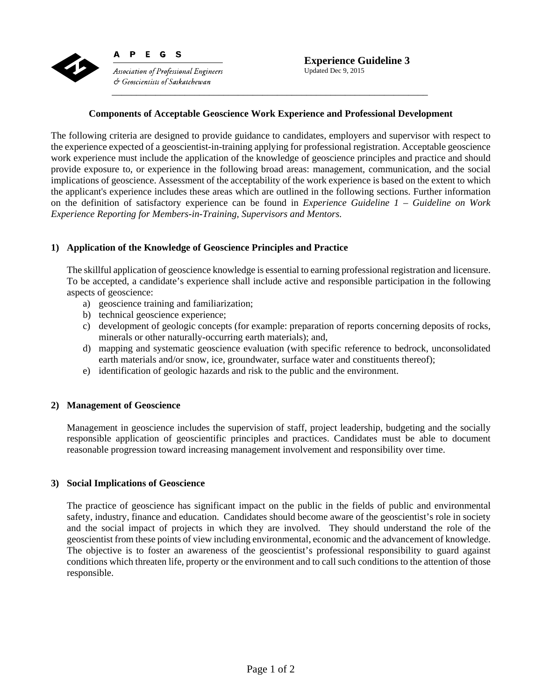

Association of Professional Engineers  $\circlearrowleft$  Geoscientists of Saskatchewan

E G S

P.

# **Components of Acceptable Geoscience Work Experience and Professional Development**

The following criteria are designed to provide guidance to candidates, employers and supervisor with respect to the experience expected of a geoscientist-in-training applying for professional registration. Acceptable geoscience work experience must include the application of the knowledge of geoscience principles and practice and should provide exposure to, or experience in the following broad areas: management, communication, and the social implications of geoscience. Assessment of the acceptability of the work experience is based on the extent to which the applicant's experience includes these areas which are outlined in the following sections. Further information on the definition of satisfactory experience can be found in *Experience Guideline 1 – Guideline on Work Experience Reporting for Members-in-Training, Supervisors and Mentors*.

# **1) Application of the Knowledge of Geoscience Principles and Practice**

The skillful application of geoscience knowledge is essential to earning professional registration and licensure. To be accepted, a candidate's experience shall include active and responsible participation in the following aspects of geoscience:

- a) geoscience training and familiarization;
- b) technical geoscience experience;
- c) development of geologic concepts (for example: preparation of reports concerning deposits of rocks, minerals or other naturally-occurring earth materials); and,
- d) mapping and systematic geoscience evaluation (with specific reference to bedrock, unconsolidated earth materials and/or snow, ice, groundwater, surface water and constituents thereof);
- e) identification of geologic hazards and risk to the public and the environment.

### **2) Management of Geoscience**

Management in geoscience includes the supervision of staff, project leadership, budgeting and the socially responsible application of geoscientific principles and practices. Candidates must be able to document reasonable progression toward increasing management involvement and responsibility over time.

### **3) Social Implications of Geoscience**

The practice of geoscience has significant impact on the public in the fields of public and environmental safety, industry, finance and education. Candidates should become aware of the geoscientist's role in society and the social impact of projects in which they are involved. They should understand the role of the geoscientist from these points of view including environmental, economic and the advancement of knowledge. The objective is to foster an awareness of the geoscientist's professional responsibility to guard against conditions which threaten life, property or the environment and to call such conditions to the attention of those responsible.